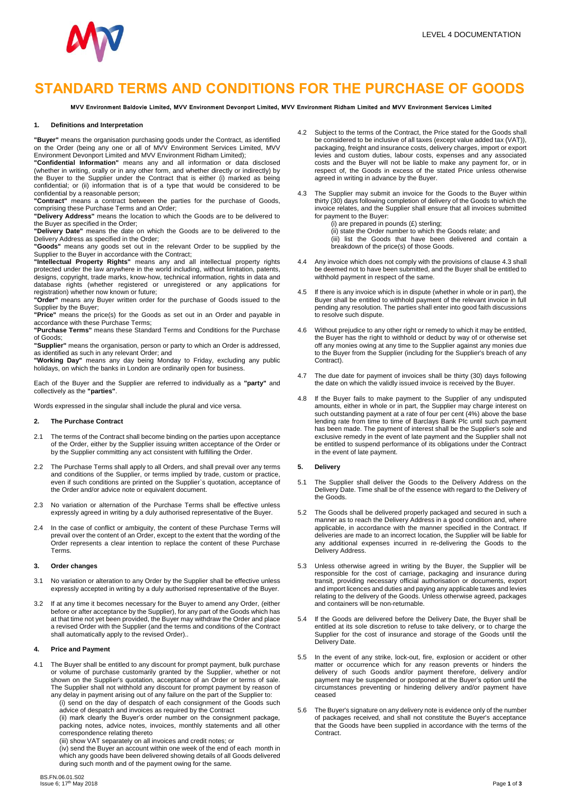

## **STANDARD TERMS AND CONDITIONS FOR THE PURCHASE OF GOODS**

MVV Environment Baldovie Limited, MVV Environment Devonport Limited, MVV Environment Ridham Limited and MVV Environment Services Limited

#### **1. Definitions and Interpretation**

**"Buyer"** means the organisation purchasing goods under the Contract, as identified on the Order (being any one or all of MVV Environment Services Limited, MVV Environment Devonport Limited and MVV Environment Ridham Limited);

**"Confidential Information"** means any and all information or data disclosed (whether in writing, orally or in any other form, and whether directly or indirectly) by the Buyer to the Supplier under the Contract that is either (i) marked as being confidential; or (ii) information that is of a type that would be considered to be confidential by a reasonable person;

**"Contract"** means a contract between the parties for the purchase of Goods, comprising these Purchase Terms and an Order;

**"Delivery Address"** means the location to which the Goods are to be delivered to the Buyer as specified in the Order;

**"Delivery Date"** means the date on which the Goods are to be delivered to the Delivery Address as specified in the Order;

**"Goods"** means any goods set out in the relevant Order to be supplied by the Supplier to the Buyer in accordance with the Contract;

**"Intellectual Property Rights"** means any and all intellectual property rights protected under the law anywhere in the world including, without limitation, patents, designs, copyright, trade marks, know-how, technical information, rights in data and database rights (whether registered or unregistered or any applications for registration) whether now known or future;

**"Order"** means any Buyer written order for the purchase of Goods issued to the Supplier by the Buyer;

**"Price"** means the price(s) for the Goods as set out in an Order and payable in accordance with these Purchase Terms;

**"Purchase Terms"** means these Standard Terms and Conditions for the Purchase of Goods;

**"Supplier"** means the organisation, person or party to which an Order is addressed, as identified as such in any relevant Order; and

**"Working Day"** means any day being Monday to Friday, excluding any public holidays, on which the banks in London are ordinarily open for business.

Each of the Buyer and the Supplier are referred to individually as a **"party"** and collectively as the **"parties"**.

Words expressed in the singular shall include the plural and vice versa.

## **2. The Purchase Contract**

- 2.1 The terms of the Contract shall become binding on the parties upon acceptance of the Order, either by the Supplier issuing written acceptance of the Order or by the Supplier committing any act consistent with fulfilling the Order.
- 2.2 The Purchase Terms shall apply to all Orders, and shall prevail over any terms and conditions of the Supplier, or terms implied by trade, custom or practice, even if such conditions are printed on the Supplier`s quotation, acceptance of the Order and/or advice note or equivalent document.
- 2.3 No variation or alternation of the Purchase Terms shall be effective unless expressly agreed in writing by a duly authorised representative of the Buyer.
- 2.4 In the case of conflict or ambiguity, the content of these Purchase Terms will prevail over the content of an Order, except to the extent that the wording of the Order represents a clear intention to replace the content of these Purchase Terms.

### **3. Order changes**

- 3.1 No variation or alteration to any Order by the Supplier shall be effective unless expressly accepted in writing by a duly authorised representative of the Buyer.
- 3.2 If at any time it becomes necessary for the Buyer to amend any Order, (either before or after acceptance by the Supplier), for any part of the Goods which has at that time not yet been provided, the Buyer may withdraw the Order and place a revised Order with the Supplier (and the terms and conditions of the Contract shall automatically apply to the revised Order)..

## **4. Price and Payment**

- 4.1 The Buyer shall be entitled to any discount for prompt payment, bulk purchase or volume of purchase customarily granted by the Supplier, whether or not shown on the Supplier's quotation, acceptance of an Order or terms of sale. The Supplier shall not withhold any discount for prompt payment by reason of any delay in payment arising out of any failure on the part of the Supplier to:
	- (i) send on the day of despatch of each consignment of the Goods such advice of despatch and invoices as required by the Contract

(ii) mark clearly the Buyer's order number on the consignment package, packing notes, advice notes, invoices, monthly statements and all other correspondence relating thereto

(iii) show VAT separately on all invoices and credit notes; or

(iv) send the Buyer an account within one week of the end of each month in which any goods have been delivered showing details of all Goods delivered during such month and of the payment owing for the same.

- 4.2 Subject to the terms of the Contract, the Price stated for the Goods shall be considered to be inclusive of all taxes (except value added tax (VAT)), packaging, freight and insurance costs, delivery charges, import or export levies and custom duties, labour costs, expenses and any associated costs and the Buyer will not be liable to make any payment for, or in respect of, the Goods in excess of the stated Price unless otherwise agreed in writing in advance by the Buyer.
- The Supplier may submit an invoice for the Goods to the Buyer within thirty (30) days following completion of delivery of the Goods to which the invoice relates, and the Supplier shall ensure that all invoices submitted for payment to the Buyer:
	- (i) are prepared in pounds (£) sterling; (ii) state the Order number to which the Goods relate; and

(iii) list the Goods that have been delivered and contain a breakdown of the price(s) of those Goods.

- Any invoice which does not comply with the provisions of clause 4.3 shall be deemed not to have been submitted, and the Buyer shall be entitled to withhold payment in respect of the same.
- 4.5 If there is any invoice which is in dispute (whether in whole or in part), the Buyer shall be entitled to withhold payment of the relevant invoice in full pending any resolution. The parties shall enter into good faith discussions to resolve such dispute.
- 4.6 Without prejudice to any other right or remedy to which it may be entitled, the Buyer has the right to withhold or deduct by way of or otherwise set off any monies owing at any time to the Supplier against any monies due to the Buyer from the Supplier (including for the Supplier's breach of any Contract).
- 4.7 The due date for payment of invoices shall be thirty (30) days following the date on which the validly issued invoice is received by the Buyer.
- 4.8 If the Buyer fails to make payment to the Supplier of any undisputed amounts, either in whole or in part, the Supplier may charge interest on such outstanding payment at a rate of four per cent (4%) above the base lending rate from time to time of Barclays Bank Plc until such payment has been made. The payment of interest shall be the Supplier's sole and exclusive remedy in the event of late payment and the Supplier shall not be entitled to suspend performance of its obligations under the Contract in the event of late payment.

### **5. Delivery**

- 5.1 The Supplier shall deliver the Goods to the Delivery Address on the Delivery Date. Time shall be of the essence with regard to the Delivery of the Goods.
- 5.2 The Goods shall be delivered properly packaged and secured in such a manner as to reach the Delivery Address in a good condition and, where applicable, in accordance with the manner specified in the Contract. If deliveries are made to an incorrect location, the Supplier will be liable for any additional expenses incurred in re-delivering the Goods to the Delivery Address.
- 5.3 Unless otherwise agreed in writing by the Buyer, the Supplier will be responsible for the cost of carriage, packaging and insurance during transit, providing necessary official authorisation or documents, export and import licences and duties and paying any applicable taxes and levies relating to the delivery of the Goods. Unless otherwise agreed, packages and containers will be non-returnable.
- 5.4 If the Goods are delivered before the Delivery Date, the Buyer shall be entitled at its sole discretion to refuse to take delivery, or to charge the Supplier for the cost of insurance and storage of the Goods until the Delivery Date.
- 5.5 In the event of any strike, lock-out, fire, explosion or accident or other matter or occurrence which for any reason prevents or hinders the delivery of such Goods and/or payment therefore, delivery and/or payment may be suspended or postponed at the Buyer's option until the circumstances preventing or hindering delivery and/or payment have ceased
- 5.6 The Buyer's signature on any delivery note is evidence only of the number of packages received, and shall not constitute the Buyer's acceptance that the Goods have been supplied in accordance with the terms of the Contract.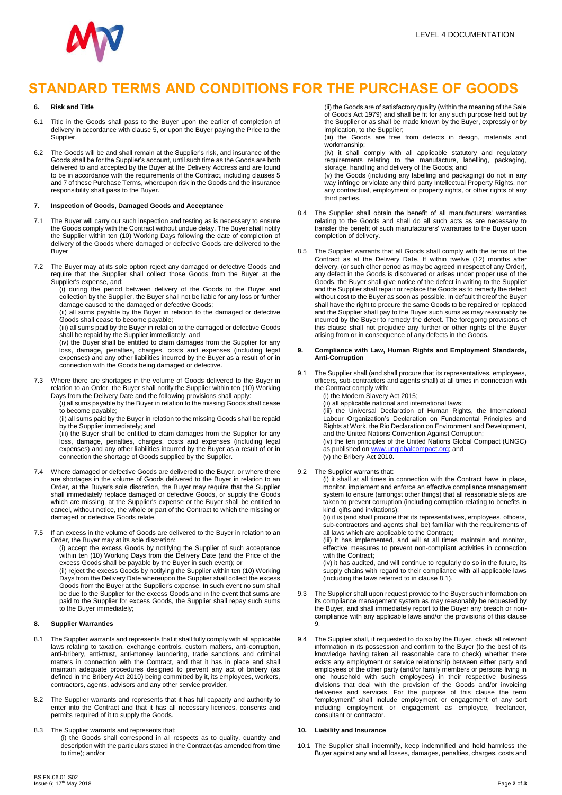

## **STANDARD TERMS AND CONDITIONS FOR THE PURCHASE OF GOODS**

## **6. Risk and Title**

- 6.1 Title in the Goods shall pass to the Buyer upon the earlier of completion of delivery in accordance with clause 5, or upon the Buyer paying the Price to the Supplier.
- 6.2 The Goods will be and shall remain at the Supplier's risk, and insurance of the Goods shall be for the Supplier's account, until such time as the Goods are both delivered to and accepted by the Buyer at the Delivery Address and are found to be in accordance with the requirements of the Contract, including clauses 5 and 7 of these Purchase Terms, whereupon risk in the Goods and the insurance responsibility shall pass to the Buyer.

### **7. Inspection of Goods, Damaged Goods and Acceptance**

- 7.1 The Buyer will carry out such inspection and testing as is necessary to ensure the Goods comply with the Contract without undue delay. The Buyer shall notify the Supplier within ten (10) Working Days following the date of completion of delivery of the Goods where damaged or defective Goods are delivered to the Buyer
- 7.2 The Buyer may at its sole option reject any damaged or defective Goods and require that the Supplier shall collect those Goods from the Buyer at the Supplier's expense, and:

(i) during the period between delivery of the Goods to the Buyer and collection by the Supplier, the Buyer shall not be liable for any loss or further damage caused to the damaged or defective Goods;

(ii) all sums payable by the Buyer in relation to the damaged or defective Goods shall cease to become payable;

(iii) all sums paid by the Buyer in relation to the damaged or defective Goods shall be repaid by the Supplier immediately; and

(iv) the Buyer shall be entitled to claim damages from the Supplier for any loss, damage, penalties, charges, costs and expenses (including legal expenses) and any other liabilities incurred by the Buyer as a result of or in connection with the Goods being damaged or defective.

- 7.3 Where there are shortages in the volume of Goods delivered to the Buyer in relation to an Order, the Buyer shall notify the Supplier within ten (10) Working Days from the Delivery Date and the following provisions shall apply:
	- (i) all sums payable by the Buyer in relation to the missing Goods shall cease to become payable;

(ii) all sums paid by the Buyer in relation to the missing Goods shall be repaid by the Supplier immediately; and

(iii) the Buyer shall be entitled to claim damages from the Supplier for any loss, damage, penalties, charges, costs and expenses (including legal expenses) and any other liabilities incurred by the Buyer as a result of or in connection the shortage of Goods supplied by the Supplier.

- 7.4 Where damaged or defective Goods are delivered to the Buyer, or where there are shortages in the volume of Goods delivered to the Buyer in relation to an Order, at the Buyer's sole discretion, the Buyer may require that the Supplier shall immediately replace damaged or defective Goods, or supply the Goods which are missing, at the Supplier's expense or the Buyer shall be entitled to cancel, without notice, the whole or part of the Contract to which the missing or damaged or defective Goods relate.
- 7.5 If an excess in the volume of Goods are delivered to the Buyer in relation to an Order, the Buyer may at its sole discretion:

(i) accept the excess Goods by notifying the Supplier of such acceptance within ten (10) Working Days from the Delivery Date (and the Price of the excess Goods shall be payable by the Buyer in such event); or

(ii) reject the excess Goods by notifying the Supplier within ten (10) Working Days from the Delivery Date whereupon the Supplier shall collect the excess Goods from the Buyer at the Supplier's expense. In such event no sum shall be due to the Supplier for the excess Goods and in the event that sums are paid to the Supplier for excess Goods, the Supplier shall repay such sums to the Buyer immediately;

## **8. Supplier Warranties**

- 8.1 The Supplier warrants and represents that it shall fully comply with all applicable laws relating to taxation, exchange controls, custom matters, anti-corruption, anti-bribery, anti-trust, anti-money laundering, trade sanctions and criminal matters in connection with the Contract, and that it has in place and shall maintain adequate procedures designed to prevent any act of bribery (as defined in the Bribery Act 2010) being committed by it, its employees, workers, contractors, agents, advisors and any other service provider.
- 8.2 The Supplier warrants and represents that it has full capacity and authority to enter into the Contract and that it has all necessary licences, consents and permits required of it to supply the Goods.
- 8.3 The Supplier warrants and represents that:

(i) the Goods shall correspond in all respects as to quality, quantity and description with the particulars stated in the Contract (as amended from time to time); and/or

(ii) the Goods are of satisfactory quality (within the meaning of the Sale of Goods Act 1979) and shall be fit for any such purpose held out by the Supplier or as shall be made known by the Buyer, expressly or by implication, to the Supplier;

(iii) the Goods are free from defects in design, materials and workmanship;

(iv) it shall comply with all applicable statutory and regulatory requirements relating to the manufacture, labelling, packaging, storage, handling and delivery of the Goods; and

(v) the Goods (including any labelling and packaging) do not in any way infringe or violate any third party Intellectual Property Rights, nor any contractual, employment or property rights, or other rights of any third parties.

- 8.4 The Supplier shall obtain the benefit of all manufacturers' warranties relating to the Goods and shall do all such acts as are necessary to transfer the benefit of such manufacturers' warranties to the Buyer upon completion of delivery.
- 8.5 The Supplier warrants that all Goods shall comply with the terms of the Contract as at the Delivery Date. If within twelve (12) months after delivery, (or such other period as may be agreed in respect of any Order), any defect in the Goods is discovered or arises under proper use of the Goods, the Buyer shall give notice of the defect in writing to the Supplier and the Supplier shall repair or replace the Goods as to remedy the defect without cost to the Buyer as soon as possible. In default thereof the Buyer shall have the right to procure the same Goods to be repaired or replaced and the Supplier shall pay to the Buyer such sums as may reasonably be incurred by the Buyer to remedy the defect. The foregoing provisions of this clause shall not prejudice any further or other rights of the Buyer arising from or in consequence of any defects in the Goods.

## **9. Compliance with Law, Human Rights and Employment Standards, Anti-Corruption**

- 9.1 The Supplier shall (and shall procure that its representatives, employees, officers, sub-contractors and agents shall) at all times in connection with the Contract comply with:
	- (i) the Modern Slavery Act 2015; (ii) all applicable national and international laws;

(iii) the Universal Declaration of Human Rights, the International Labour Organization's Declaration on Fundamental Principles and Rights at Work, the Rio Declaration on Environment and Development, and the United Nations Convention Against Corruption; (iv) the ten principles of the United Nations Global Compact (UNGC)

as published o[n www.unglobalcompact.org;](http://www.unglobalcompact.org/) and (v) the Bribery Act 2010.

9.2 The Supplier warrants that:

(i) it shall at all times in connection with the Contract have in place, monitor, implement and enforce an effective compliance management system to ensure (amongst other things) that all reasonable steps are taken to prevent corruption (including corruption relating to benefits in kind, gifts and invitations);

(ii) it is (and shall procure that its representatives, employees, officers, sub-contractors and agents shall be) familiar with the requirements of all laws which are applicable to the Contract;

(iii) it has implemented, and will at all times maintain and monitor, effective measures to prevent non-compliant activities in connection with the Contract:

(iv) it has audited, and will continue to regularly do so in the future, its supply chains with regard to their compliance with all applicable laws (including the laws referred to in clause 8.1).

- 9.3 The Supplier shall upon request provide to the Buyer such information on its compliance management system as may reasonably be requested by the Buyer, and shall immediately report to the Buyer any breach or noncompliance with any applicable laws and/or the provisions of this clause 9.
- 9.4 The Supplier shall, if requested to do so by the Buyer, check all relevant information in its possession and confirm to the Buyer (to the best of its knowledge having taken all reasonable care to check) whether there exists any employment or service relationship between either party and employees of the other party (and/or family members or persons living in one household with such employees) in their respective business divisions that deal with the provision of the Goods and/or invoicing deliveries and services. For the purpose of this clause the term "employment" shall include employment or engagement of any sort including employment or engagement as employee, freelancer, consultant or contractor.

## **10. Liability and Insurance**

10.1 The Supplier shall indemnify, keep indemnified and hold harmless the Buyer against any and all losses, damages, penalties, charges, costs and